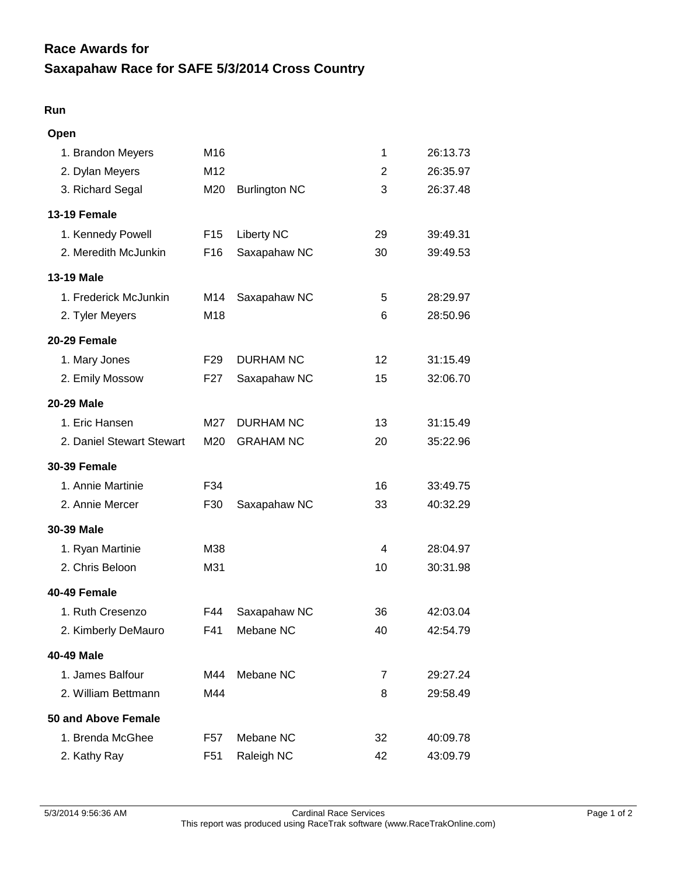## **Saxapahaw Race for SAFE 5/3/2014 Cross Country Race Awards for**

## **Run**

| Open                      |                 |                      |    |          |
|---------------------------|-----------------|----------------------|----|----------|
| 1. Brandon Meyers         | M16             |                      | 1  | 26:13.73 |
| 2. Dylan Meyers           | M <sub>12</sub> |                      | 2  | 26:35.97 |
| 3. Richard Segal          | M20             | <b>Burlington NC</b> | 3  | 26:37.48 |
| <b>13-19 Female</b>       |                 |                      |    |          |
| 1. Kennedy Powell         | F <sub>15</sub> | <b>Liberty NC</b>    | 29 | 39:49.31 |
| 2. Meredith McJunkin      | F <sub>16</sub> | Saxapahaw NC         | 30 | 39:49.53 |
| 13-19 Male                |                 |                      |    |          |
| 1. Frederick McJunkin     | M14             | Saxapahaw NC         | 5  | 28:29.97 |
| 2. Tyler Meyers           | M18             |                      | 6  | 28:50.96 |
| 20-29 Female              |                 |                      |    |          |
| 1. Mary Jones             | F <sub>29</sub> | <b>DURHAM NC</b>     | 12 | 31:15.49 |
| 2. Emily Mossow           | F <sub>27</sub> | Saxapahaw NC         | 15 | 32:06.70 |
| 20-29 Male                |                 |                      |    |          |
| 1. Eric Hansen            | M27             | <b>DURHAM NC</b>     | 13 | 31:15.49 |
| 2. Daniel Stewart Stewart | M20             | <b>GRAHAM NC</b>     | 20 | 35:22.96 |
| <b>30-39 Female</b>       |                 |                      |    |          |
| 1. Annie Martinie         | F34             |                      | 16 | 33:49.75 |
| 2. Annie Mercer           | F30             | Saxapahaw NC         | 33 | 40:32.29 |
| 30-39 Male                |                 |                      |    |          |
| 1. Ryan Martinie          | M38             |                      | 4  | 28:04.97 |
| 2. Chris Beloon           | M31             |                      | 10 | 30:31.98 |
| 40-49 Female              |                 |                      |    |          |
| 1. Ruth Cresenzo          | F44             | Saxapahaw NC         | 36 | 42:03.04 |
| 2. Kimberly DeMauro       | F41             | Mebane NC            | 40 | 42:54.79 |
| 40-49 Male                |                 |                      |    |          |
| 1. James Balfour          | M44             | Mebane NC            | 7  | 29:27.24 |
| 2. William Bettmann       | M44             |                      | 8  | 29:58.49 |
| 50 and Above Female       |                 |                      |    |          |
| 1. Brenda McGhee          | F57             | Mebane NC            | 32 | 40:09.78 |
| 2. Kathy Ray              | F <sub>51</sub> | Raleigh NC           | 42 | 43:09.79 |